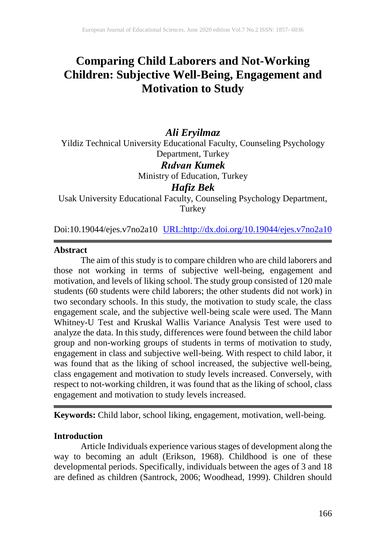# **Comparing Child Laborers and Not-Working Children: Subjective Well-Being, Engagement and Motivation to Study**

# *Ali Eryilmaz*

Yildiz Technical University Educational Faculty, Counseling Psychology Department, Turkey

# *Rıdvan Kumek*

Ministry of Education, Turkey

# *Hafiz Bek*

Usak University Educational Faculty, Counseling Psychology Department, **Turkey** 

Doi:10.19044/ejes.v7no2a10 [URL:http://dx.doi.org/10.19044/ejes.v7no2a10](http://dx.doi.org/10.19044/ejes.v7no2a10)

#### **Abstract**

The aim of this study is to compare children who are child laborers and those not working in terms of subjective well-being, engagement and motivation, and levels of liking school. The study group consisted of 120 male students (60 students were child laborers; the other students did not work) in two secondary schools. In this study, the motivation to study scale, the class engagement scale, and the subjective well-being scale were used. The Mann Whitney-U Test and Kruskal Wallis Variance Analysis Test were used to analyze the data. In this study, differences were found between the child labor group and non-working groups of students in terms of motivation to study, engagement in class and subjective well-being. With respect to child labor, it was found that as the liking of school increased, the subjective well-being, class engagement and motivation to study levels increased. Conversely, with respect to not-working children, it was found that as the liking of school, class engagement and motivation to study levels increased.

**Keywords:** Child labor, school liking, engagement, motivation, well-being.

#### **Introduction**

Article Individuals experience various stages of development along the way to becoming an adult (Erikson, 1968). Childhood is one of these developmental periods. Specifically, individuals between the ages of 3 and 18 are defined as children (Santrock, 2006; Woodhead, 1999). Children should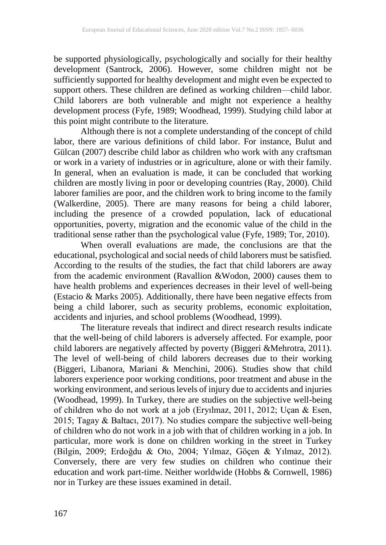be supported physiologically, psychologically and socially for their healthy development (Santrock, 2006). However, some children might not be sufficiently supported for healthy development and might even be expected to support others. These children are defined as working children—child labor. Child laborers are both vulnerable and might not experience a healthy development process (Fyfe, 1989; Woodhead, 1999). Studying child labor at this point might contribute to the literature.

Although there is not a complete understanding of the concept of child labor, there are various definitions of child labor. For instance, Bulut and Gülcan (2007) describe child labor as children who work with any craftsman or work in a variety of industries or in agriculture, alone or with their family. In general, when an evaluation is made, it can be concluded that working children are mostly living in poor or developing countries (Ray, 2000). Child laborer families are poor, and the children work to bring income to the family (Walkerdine, 2005). There are many reasons for being a child laborer, including the presence of a crowded population, lack of educational opportunities, poverty, migration and the economic value of the child in the traditional sense rather than the psychological value (Fyfe, 1989; Tor, 2010).

When overall evaluations are made, the conclusions are that the educational, psychological and social needs of child laborers must be satisfied. According to the results of the studies, the fact that child laborers are away from the academic environment (Ravallion &Wodon, 2000) causes them to have health problems and experiences decreases in their level of well-being (Estacio & Marks 2005). Additionally, there have been negative effects from being a child laborer, such as security problems, economic exploitation, accidents and injuries, and school problems (Woodhead, 1999).

The literature reveals that indirect and direct research results indicate that the well-being of child laborers is adversely affected. For example, poor child laborers are negatively affected by poverty (Biggeri &Mehrotra, 2011). The level of well-being of child laborers decreases due to their working (Biggeri, Libanora, Mariani & Menchini, 2006). Studies show that child laborers experience poor working conditions, poor treatment and abuse in the working environment, and serious levels of injury due to accidents and injuries (Woodhead, 1999). In Turkey, there are studies on the subjective well-being of children who do not work at a job (Eryılmaz, 2011, 2012; Uçan & Esen, 2015; Tagay & Baltacı, 2017). No studies compare the subjective well-being of children who do not work in a job with that of children working in a job. In particular, more work is done on children working in the street in Turkey (Bilgin, 2009; Erdoğdu & Oto, 2004; Yılmaz, Göçen & Yılmaz, 2012). Conversely, there are very few studies on children who continue their education and work part-time. Neither worldwide (Hobbs & Cornwell, 1986) nor in Turkey are these issues examined in detail.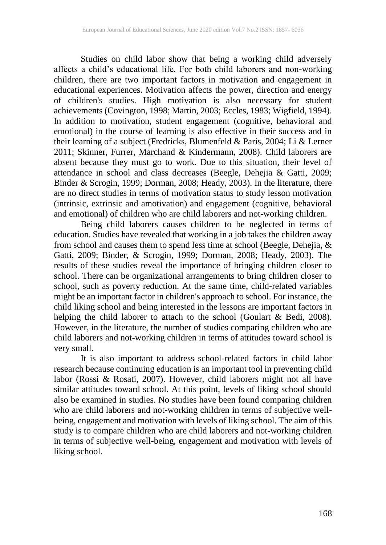Studies on child labor show that being a working child adversely affects a child's educational life. For both child laborers and non-working children, there are two important factors in motivation and engagement in educational experiences. Motivation affects the power, direction and energy of children's studies. High motivation is also necessary for student achievements (Covington, 1998; Martin, 2003; Eccles, 1983; Wigfield, 1994). In addition to motivation, student engagement (cognitive, behavioral and emotional) in the course of learning is also effective in their success and in their learning of a subject (Fredricks, Blumenfeld & Paris, 2004; Li & Lerner 2011; Skinner, Furrer, Marchand & Kindermann, 2008). Child laborers are absent because they must go to work. Due to this situation, their level of attendance in school and class decreases (Beegle, Dehejia & Gatti, 2009; Binder & Scrogin, 1999; Dorman, 2008; Heady, 2003). In the literature, there are no direct studies in terms of motivation status to study lesson motivation (intrinsic, extrinsic and amotivation) and engagement (cognitive, behavioral and emotional) of children who are child laborers and not-working children.

Being child laborers causes children to be neglected in terms of education. Studies have revealed that working in a job takes the children away from school and causes them to spend less time at school (Beegle, Dehejia, & Gatti, 2009; Binder, & Scrogin, 1999; Dorman, 2008; Heady, 2003). The results of these studies reveal the importance of bringing children closer to school. There can be organizational arrangements to bring children closer to school, such as poverty reduction. At the same time, child-related variables might be an important factor in children's approach to school. For instance, the child liking school and being interested in the lessons are important factors in helping the child laborer to attach to the school (Goulart & Bedi, 2008). However, in the literature, the number of studies comparing children who are child laborers and not-working children in terms of attitudes toward school is very small.

It is also important to address school-related factors in child labor research because continuing education is an important tool in preventing child labor (Rossi & Rosati, 2007). However, child laborers might not all have similar attitudes toward school. At this point, levels of liking school should also be examined in studies. No studies have been found comparing children who are child laborers and not-working children in terms of subjective wellbeing, engagement and motivation with levels of liking school. The aim of this study is to compare children who are child laborers and not-working children in terms of subjective well-being, engagement and motivation with levels of liking school.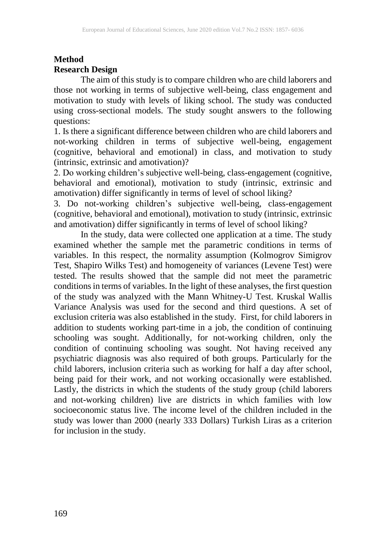#### **Method Research Design**

The aim of this study is to compare children who are child laborers and those not working in terms of subjective well-being, class engagement and motivation to study with levels of liking school. The study was conducted using cross-sectional models. The study sought answers to the following questions:

1. Is there a significant difference between children who are child laborers and not-working children in terms of subjective well-being, engagement (cognitive, behavioral and emotional) in class, and motivation to study (intrinsic, extrinsic and amotivation)?

2. Do working children's subjective well-being, class-engagement (cognitive, behavioral and emotional), motivation to study (intrinsic, extrinsic and amotivation) differ significantly in terms of level of school liking?

3. Do not-working children's subjective well-being, class-engagement (cognitive, behavioral and emotional), motivation to study (intrinsic, extrinsic and amotivation) differ significantly in terms of level of school liking?

In the study, data were collected one application at a time. The study examined whether the sample met the parametric conditions in terms of variables. In this respect, the normality assumption (Kolmogrov Simigrov Test, Shapiro Wilks Test) and homogeneity of variances (Levene Test) were tested. The results showed that the sample did not meet the parametric conditions in terms of variables. In the light of these analyses, the first question of the study was analyzed with the Mann Whitney-U Test. Kruskal Wallis Variance Analysis was used for the second and third questions. A set of exclusion criteria was also established in the study. First, for child laborers in addition to students working part-time in a job, the condition of continuing schooling was sought. Additionally, for not-working children, only the condition of continuing schooling was sought. Not having received any psychiatric diagnosis was also required of both groups. Particularly for the child laborers, inclusion criteria such as working for half a day after school, being paid for their work, and not working occasionally were established. Lastly, the districts in which the students of the study group (child laborers and not-working children) live are districts in which families with low socioeconomic status live. The income level of the children included in the study was lower than 2000 (nearly 333 Dollars) Turkish Liras as a criterion for inclusion in the study.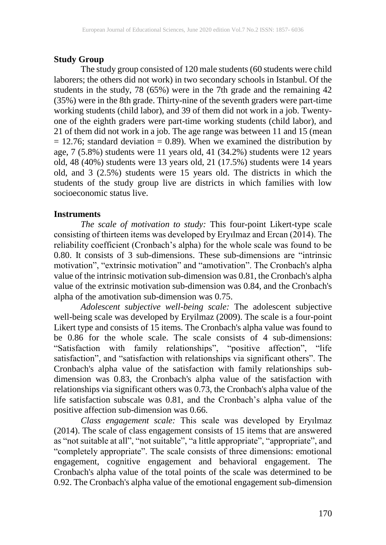## **Study Group**

The study group consisted of 120 male students (60 students were child laborers; the others did not work) in two secondary schools in Istanbul. Of the students in the study, 78 (65%) were in the 7th grade and the remaining 42 (35%) were in the 8th grade. Thirty-nine of the seventh graders were part-time working students (child labor), and 39 of them did not work in a job. Twentyone of the eighth graders were part-time working students (child labor), and 21 of them did not work in a job. The age range was between 11 and 15 (mean  $= 12.76$ ; standard deviation  $= 0.89$ ). When we examined the distribution by age, 7 (5.8%) students were 11 years old, 41 (34.2%) students were 12 years old, 48 (40%) students were 13 years old, 21 (17.5%) students were 14 years old, and 3 (2.5%) students were 15 years old. The districts in which the students of the study group live are districts in which families with low socioeconomic status live.

## **Instruments**

*The scale of motivation to study:* This four-point Likert-type scale consisting of thirteen items was developed by Eryılmaz and Ercan (2014). The reliability coefficient (Cronbach's alpha) for the whole scale was found to be 0.80. It consists of 3 sub-dimensions. These sub-dimensions are "intrinsic motivation", "extrinsic motivation" and "amotivation". The Cronbach's alpha value of the intrinsic motivation sub-dimension was 0.81, the Cronbach's alpha value of the extrinsic motivation sub-dimension was 0.84, and the Cronbach's alpha of the amotivation sub-dimension was 0.75.

*Adolescent subjective well-being scale:* The adolescent subjective well-being scale was developed by Eryilmaz (2009). The scale is a four-point Likert type and consists of 15 items. The Cronbach's alpha value was found to be 0.86 for the whole scale. The scale consists of 4 sub-dimensions: "Satisfaction with family relationships", "positive affection", "life satisfaction", and "satisfaction with relationships via significant others". The Cronbach's alpha value of the satisfaction with family relationships subdimension was 0.83, the Cronbach's alpha value of the satisfaction with relationships via significant others was 0.73, the Cronbach's alpha value of the life satisfaction subscale was 0.81, and the Cronbach's alpha value of the positive affection sub-dimension was 0.66.

*Class engagement scale:* This scale was developed by Eryılmaz (2014). The scale of class engagement consists of 15 items that are answered as "not suitable at all", "not suitable", "a little appropriate", "appropriate", and "completely appropriate". The scale consists of three dimensions: emotional engagement, cognitive engagement and behavioral engagement. The Cronbach's alpha value of the total points of the scale was determined to be 0.92. The Cronbach's alpha value of the emotional engagement sub-dimension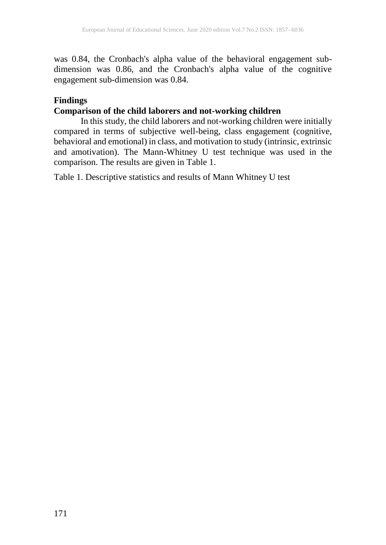was 0.84, the Cronbach's alpha value of the behavioral engagement subdimension was 0.86, and the Cronbach's alpha value of the cognitive engagement sub-dimension was 0.84.

## **Findings**

# **Comparison of the child laborers and not-working children**

In this study, the child laborers and not-working children were initially compared in terms of subjective well-being, class engagement (cognitive, behavioral and emotional) in class, and motivation to study (intrinsic, extrinsic and amotivation). The Mann-Whitney U test technique was used in the comparison. The results are given in Table 1.

Table 1. Descriptive statistics and results of Mann Whitney U test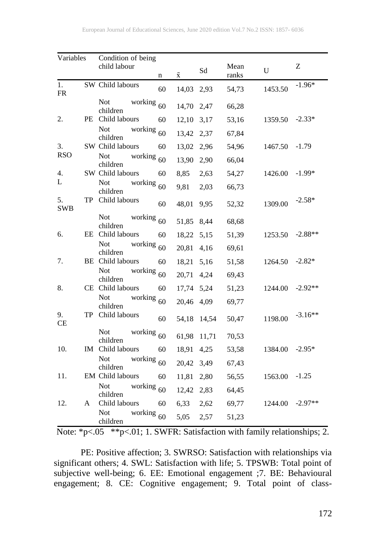| Variables        |   | Condition of being                     |             |           |       |               |             |           |
|------------------|---|----------------------------------------|-------------|-----------|-------|---------------|-------------|-----------|
|                  |   | child labour                           | $\mathbf n$ | $\bar{x}$ | Sd    | Mean<br>ranks | $\mathbf U$ | Z         |
| 1.<br>${\sf FR}$ |   | SW Child labours                       | 60          | 14,03     | 2,93  | 54,73         | 1453.50     | $-1.96*$  |
|                  |   | Not<br>working<br>children             | 60          | 14,70     | 2,47  | 66,28         |             |           |
| 2.               |   | PE Child labours                       | 60          | 12,10     | 3,17  | 53,16         | 1359.50     | $-2.33*$  |
|                  |   | <b>Not</b><br>working<br>children      | 60          | 13,42     | 2,37  | 67,84         |             |           |
| 3.               |   | SW Child labours                       | 60          | 13,02     | 2,96  | 54,96         | 1467.50     | $-1.79$   |
| <b>RSO</b>       |   | Not<br>working<br>children             | 60          | 13,90     | 2,90  | 66,04         |             |           |
| 4.               |   | SW Child labours                       | 60          | 8,85      | 2,63  | 54,27         | 1426.00     | $-1.99*$  |
| L                |   | <b>Not</b><br>working<br>children      | 60          | 9,81      | 2,03  | 66,73         |             |           |
| 5.<br><b>SWB</b> |   | TP Child labours                       | 60          | 48,01     | 9,95  | 52,32         | 1309.00     | $-2.58*$  |
|                  |   | Not<br>working<br>children             | 60          | 51,85     | 8,44  | 68,68         |             |           |
| 6.               |   | EE Child labours                       | 60          | 18,22     | 5,15  | 51,39         | 1253.50     | $-2.88**$ |
|                  |   | Not<br>working<br>children             | 60          | 20,81     | 4,16  | 69,61         |             |           |
| 7.               |   | <b>BE</b> Child labours                | 60          | 18,21     | 5,16  | 51,58         | 1264.50     | $-2.82*$  |
|                  |   | <b>Not</b><br>working $60$<br>children |             | 20,71     | 4,24  | 69,43         |             |           |
| 8.               |   | CE Child labours                       | 60          | 17,74     | 5,24  | 51,23         | 1244.00     | $-2.92**$ |
|                  |   | <b>Not</b><br>working<br>children      | 60          | 20,46     | 4,09  | 69,77         |             |           |
| 9.<br>CE         |   | TP Child labours                       | 60          | 54,18     | 14,54 | 50,47         | 1198.00     | $-3.16**$ |
|                  |   | Not<br>working<br>children             | 60          | 61,98     | 11,71 | 70,53         |             |           |
| 10.              |   | IM Child labours                       | 60          | 18,91     | 4,25  | 53,58         | 1384.00     | $-2.95*$  |
|                  |   | <b>Not</b><br>working<br>children      | 60          | 20,42     | 3,49  | 67,43         |             |           |
| 11.              |   | EM Child labours                       | 60          | 11,81     | 2,80  | 56,55         | 1563.00     | $-1.25$   |
|                  |   | <b>Not</b><br>working<br>children      | 60          | 12,42     | 2,83  | 64,45         |             |           |
| 12.              | A | Child labours                          | 60          | 6,33      | 2,62  | 69,77         | 1244.00     | $-2.97**$ |
|                  |   | Not<br>working<br>children             | 60          | 5,05      | 2,57  | 51,23         |             |           |

Note: \*p<.05 \*\*p<.01; 1. SWFR: Satisfaction with family relationships; 2.

PE: Positive affection; 3. SWRSO: Satisfaction with relationships via significant others; 4. SWL: Satisfaction with life; 5. TPSWB: Total point of subjective well-being; 6. EE: Emotional engagement ;7. BE: Behavioural engagement; 8. CE: Cognitive engagement; 9. Total point of class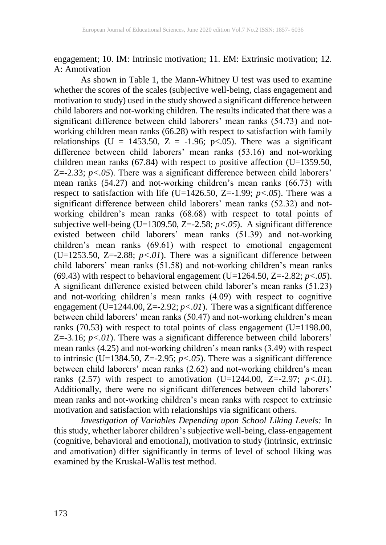engagement; 10. IM: Intrinsic motivation; 11. EM: Extrinsic motivation; 12. A: Amotivation

As shown in Table 1, the Mann-Whitney U test was used to examine whether the scores of the scales (subjective well-being, class engagement and motivation to study) used in the study showed a significant difference between child laborers and not-working children. The results indicated that there was a significant difference between child laborers' mean ranks (54.73) and notworking children mean ranks (66.28) with respect to satisfaction with family relationships (U = 1453.50, Z = -1.96; p<.05). There was a significant difference between child laborers' mean ranks (53.16) and not-working children mean ranks (67.84) with respect to positive affection (U=1359.50,  $Z = -2.33$ ;  $p < .05$ ). There was a significant difference between child laborers' mean ranks (54.27) and not-working children's mean ranks (66.73) with respect to satisfaction with life (U=1426.50, Z=-1.99;  $p < .05$ ). There was a significant difference between child laborers' mean ranks (52.32) and notworking children's mean ranks (68.68) with respect to total points of subjective well-being (U=1309.50, Z=-2.58; *p<.05*). A significant difference existed between child laborers' mean ranks (51.39) and not-working children's mean ranks (69.61) with respect to emotional engagement (U=1253.50, Z=-2.88;  $p < 01$ ). There was a significant difference between child laborers' mean ranks (51.58) and not-working children's mean ranks (69.43) with respect to behavioral engagement (U=1264.50, Z=-2.82;  $p < .05$ ). A significant difference existed between child laborer's mean ranks (51.23) and not-working children's mean ranks (4.09) with respect to cognitive engagement (U=1244.00, Z=-2.92;  $p < 01$ ). There was a significant difference between child laborers' mean ranks (50.47) and not-working children's mean ranks (70.53) with respect to total points of class engagement (U=1198.00,  $Z = -3.16$ ;  $p < 01$ ). There was a significant difference between child laborers' mean ranks (4.25) and not-working children's mean ranks (3.49) with respect to intrinsic (U=1384.50, Z=-2.95;  $p < .05$ ). There was a significant difference between child laborers' mean ranks (2.62) and not-working children's mean ranks (2.57) with respect to amotivation (U=1244.00,  $Z = -2.97$ ;  $p < .01$ ). Additionally, there were no significant differences between child laborers' mean ranks and not-working children's mean ranks with respect to extrinsic motivation and satisfaction with relationships via significant others.

*Investigation of Variables Depending upon School Liking Levels:* In this study, whether laborer children's subjective well-being, class-engagement (cognitive, behavioral and emotional), motivation to study (intrinsic, extrinsic and amotivation) differ significantly in terms of level of school liking was examined by the Kruskal-Wallis test method.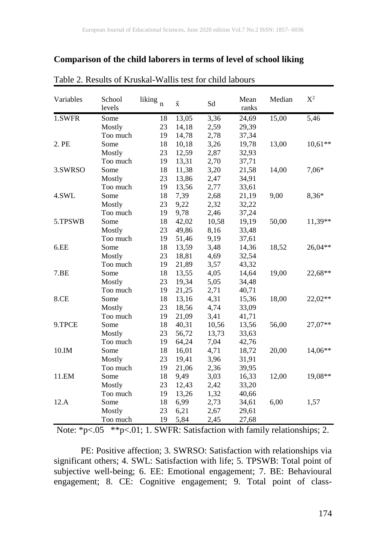## **Comparison of the child laborers in terms of level of school liking**

| Variables | School<br>levels | liking<br>$\mathbf n$ | $\bar{\textbf{X}}$ | Sd    | Mean<br>ranks | Median | $X^2$     |
|-----------|------------------|-----------------------|--------------------|-------|---------------|--------|-----------|
| 1.SWFR    | Some             | 18                    | 13,05              | 3,36  | 24,69         | 15,00  | 5,46      |
|           | Mostly           | 23                    | 14,18              | 2,59  | 29,39         |        |           |
|           | Too much         | 19                    | 14,78              | 2,78  | 37,34         |        |           |
| 2. PE     | Some             | 18                    | 10,18              | 3,26  | 19,78         | 13,00  | $10,61**$ |
|           | Mostly           | 23                    | 12,59              | 2,87  | 32,93         |        |           |
|           | Too much         | 19                    | 13,31              | 2,70  | 37,71         |        |           |
| 3.SWRSO   | Some             | 18                    | 11,38              | 3,20  | 21,58         | 14,00  | 7,06*     |
|           | Mostly           | 23                    | 13,86              | 2,47  | 34,91         |        |           |
|           | Too much         | 19                    | 13,56              | 2,77  | 33,61         |        |           |
| 4.SWL     | Some             | 18                    | 7,39               | 2,68  | 21,19         | 9,00   | 8,36*     |
|           | Mostly           | 23                    | 9,22               | 2,32  | 32,22         |        |           |
|           | Too much         | 19                    | 9,78               | 2,46  | 37,24         |        |           |
| 5.TPSWB   | Some             | 18                    | 42,02              | 10,58 | 19,19         | 50,00  | 11,39**   |
|           | Mostly           | 23                    | 49,86              | 8,16  | 33,48         |        |           |
|           | Too much         | 19                    | 51,46              | 9,19  | 37,61         |        |           |
| 6.EE      | Some             | 18                    | 13,59              | 3,48  | 14,36         | 18,52  | $26,04**$ |
|           | Mostly           | 23                    | 18,81              | 4,69  | 32,54         |        |           |
|           | Too much         | 19                    | 21,89              | 3,57  | 43,32         |        |           |
| 7.EE      | Some             | 18                    | 13,55              | 4,05  | 14,64         | 19,00  | 22,68**   |
|           | Mostly           | 23                    | 19,34              | 5,05  | 34,48         |        |           |
|           | Too much         | 19                    | 21,25              | 2,71  | 40,71         |        |           |
| 8.CE      | Some             | 18                    | 13,16              | 4,31  | 15,36         | 18,00  | 22,02**   |
|           | Mostly           | 23                    | 18,56              | 4,74  | 33,09         |        |           |
|           | Too much         | 19                    | 21,09              | 3,41  | 41,71         |        |           |
| 9.TPCE    | Some             | 18                    | 40,31              | 10,56 | 13,56         | 56,00  | 27,07**   |
|           | Mostly           | 23                    | 56,72              | 13,73 | 33,63         |        |           |
|           | Too much         | 19                    | 64,24              | 7,04  | 42,76         |        |           |
| 10.IM     | Some             | 18                    | 16,01              | 4,71  | 18,72         | 20,00  | 14,06**   |
|           | Mostly           | 23                    | 19,41              | 3,96  | 31,91         |        |           |
|           | Too much         | 19                    | 21,06              | 2,36  | 39,95         |        |           |
| 11.EM     | Some             | 18                    | 9,49               | 3,03  | 16,33         | 12,00  | 19,08**   |
|           | Mostly           | 23                    | 12,43              | 2,42  | 33,20         |        |           |
|           | Too much         | 19                    | 13,26              | 1,32  | 40,66         |        |           |
| 12.A      | Some             | 18                    | 6,99               | 2,73  | 34,61         | 6,00   | 1,57      |
|           | Mostly           | 23                    | 6,21               | 2,67  | 29,61         |        |           |
|           | Too much         | 19                    | 5,84               | 2,45  | 27,68         |        |           |

#### Table 2. Results of Kruskal-Wallis test for child labours

Note: \*p<.05 \*\*p<.01; 1. SWFR: Satisfaction with family relationships; 2.

PE: Positive affection; 3. SWRSO: Satisfaction with relationships via significant others; 4. SWL: Satisfaction with life; 5. TPSWB: Total point of subjective well-being; 6. EE: Emotional engagement; 7. BE: Behavioural engagement; 8. CE: Cognitive engagement; 9. Total point of class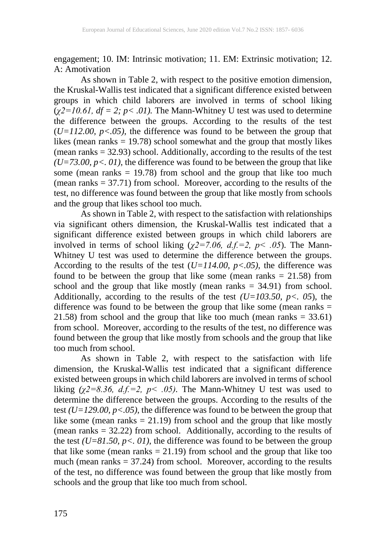engagement; 10. IM: Intrinsic motivation; 11. EM: Extrinsic motivation; 12. A: Amotivation

As shown in Table 2, with respect to the positive emotion dimension, the Kruskal-Wallis test indicated that a significant difference existed between groups in which child laborers are involved in terms of school liking  $(\chi2=10.61, df=2; p<.01)$ . The Mann-Whitney U test was used to determine the difference between the groups. According to the results of the test  $(U=112.00, p<0.05)$ , the difference was found to be between the group that likes (mean ranks = 19.78) school somewhat and the group that mostly likes (mean ranks = 32.93) school. Additionally, according to the results of the test  $(U=73.00, p<.01)$ , the difference was found to be between the group that like some (mean ranks  $= 19.78$ ) from school and the group that like too much (mean ranks  $= 37.71$ ) from school. Moreover, according to the results of the test, no difference was found between the group that like mostly from schools and the group that likes school too much.

As shown in Table 2, with respect to the satisfaction with relationships via significant others dimension, the Kruskal-Wallis test indicated that a significant difference existed between groups in which child laborers are involved in terms of school liking  $(\chi^2=7.06, d.f.=2, p<.05)$ . The Mann-Whitney U test was used to determine the difference between the groups. According to the results of the test (*U=114.00, p<.05)*, the difference was found to be between the group that like some (mean ranks  $= 21.58$ ) from school and the group that like mostly (mean ranks = 34.91) from school. Additionally, according to the results of the test  $(U=103.50, p<.05)$ , the difference was found to be between the group that like some (mean ranks = 21.58) from school and the group that like too much (mean ranks = 33.61) from school. Moreover, according to the results of the test, no difference was found between the group that like mostly from schools and the group that like too much from school.

As shown in Table 2, with respect to the satisfaction with life dimension, the Kruskal-Wallis test indicated that a significant difference existed between groups in which child laborers are involved in terms of school liking  $(\chi^2=8.36, d.f.=2, p<.05)$ . The Mann-Whitney U test was used to determine the difference between the groups. According to the results of the test *(U=129.00, p<.05)*, the difference was found to be between the group that like some (mean ranks  $= 21.19$ ) from school and the group that like mostly (mean ranks = 32.22) from school. Additionally, according to the results of the test  $(U=81.50, p<sub>0</sub>, 01)$ , the difference was found to be between the group that like some (mean ranks  $= 21.19$ ) from school and the group that like too much (mean ranks  $= 37.24$ ) from school. Moreover, according to the results of the test, no difference was found between the group that like mostly from schools and the group that like too much from school.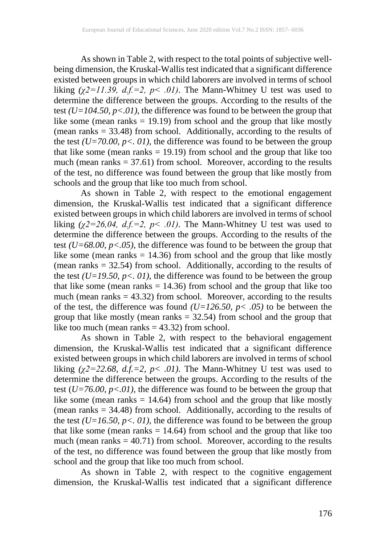As shown in Table 2, with respect to the total points of subjective wellbeing dimension, the Kruskal-Wallis test indicated that a significant difference existed between groups in which child laborers are involved in terms of school liking  $(\chi^2 = 11.39, d.f = 2, p < .01)$ . The Mann-Whitney U test was used to determine the difference between the groups. According to the results of the test *(U=104.50, p<.01)*, the difference was found to be between the group that like some (mean ranks = 19.19) from school and the group that like mostly (mean ranks = 33.48) from school. Additionally, according to the results of the test *(U=70.00, p<. 01)*, the difference was found to be between the group that like some (mean ranks = 19.19) from school and the group that like too much (mean ranks  $= 37.61$ ) from school. Moreover, according to the results of the test, no difference was found between the group that like mostly from schools and the group that like too much from school.

As shown in Table 2, with respect to the emotional engagement dimension, the Kruskal-Wallis test indicated that a significant difference existed between groups in which child laborers are involved in terms of school liking  $(\chi^2=26.04, d.f.=2, p<.01)$ . The Mann-Whitney U test was used to determine the difference between the groups. According to the results of the test *(U=68.00, p<.05)*, the difference was found to be between the group that like some (mean ranks = 14.36) from school and the group that like mostly (mean ranks = 32.54) from school. Additionally, according to the results of the test  $(U=19.50, p<sub>0</sub>, 01)$ , the difference was found to be between the group that like some (mean ranks  $= 14.36$ ) from school and the group that like too much (mean ranks  $= 43.32$ ) from school. Moreover, according to the results of the test, the difference was found *(U=126.50, p< .05)* to be between the group that like mostly (mean ranks  $= 32.54$ ) from school and the group that like too much (mean ranks  $=$  43.32) from school.

As shown in Table 2, with respect to the behavioral engagement dimension, the Kruskal-Wallis test indicated that a significant difference existed between groups in which child laborers are involved in terms of school liking  $(\chi^2 = 22.68, d.f. = 2, p < .01)$ . The Mann-Whitney U test was used to determine the difference between the groups. According to the results of the test  $(U=76.00, p<.01)$ , the difference was found to be between the group that like some (mean ranks  $= 14.64$ ) from school and the group that like mostly (mean ranks = 34.48) from school. Additionally, according to the results of the test  $(U=16.50, p<sub>0</sub>, 01)$ , the difference was found to be between the group that like some (mean ranks  $= 14.64$ ) from school and the group that like too much (mean ranks  $= 40.71$ ) from school. Moreover, according to the results of the test, no difference was found between the group that like mostly from school and the group that like too much from school.

As shown in Table 2, with respect to the cognitive engagement dimension, the Kruskal-Wallis test indicated that a significant difference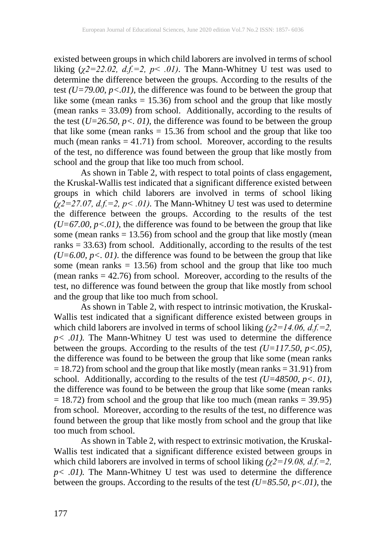existed between groups in which child laborers are involved in terms of school liking  $(\chi^2=22.02, d.f.=2, p<.01)$ . The Mann-Whitney U test was used to determine the difference between the groups. According to the results of the test *(U=79.00, p<.01)*, the difference was found to be between the group that like some (mean ranks = 15.36) from school and the group that like mostly (mean ranks  $= 33.09$ ) from school. Additionally, according to the results of the test  $(U=26.50, p<sub>0</sub>, 01)$ , the difference was found to be between the group that like some (mean ranks  $= 15.36$  from school and the group that like too much (mean ranks  $= 41.71$ ) from school. Moreover, according to the results of the test, no difference was found between the group that like mostly from school and the group that like too much from school.

As shown in Table 2, with respect to total points of class engagement, the Kruskal-Wallis test indicated that a significant difference existed between groups in which child laborers are involved in terms of school liking  $\sqrt{(x^2-27.07)}$ , d.f.=2, p< .01). The Mann-Whitney U test was used to determine the difference between the groups. According to the results of the test  $(U=67.00, p<0.01)$ , the difference was found to be between the group that like some (mean ranks  $= 13.56$ ) from school and the group that like mostly (mean ranks  $= 33.63$ ) from school. Additionally, according to the results of the test  $(U=6.00, p<sub>0</sub>, 01)$ . the difference was found to be between the group that like some (mean ranks  $= 13.56$ ) from school and the group that like too much (mean ranks  $= 42.76$ ) from school. Moreover, according to the results of the test, no difference was found between the group that like mostly from school and the group that like too much from school.

As shown in Table 2, with respect to intrinsic motivation, the Kruskal-Wallis test indicated that a significant difference existed between groups in which child laborers are involved in terms of school liking  $(\chi^2 = 14.06, d.f. = 2,$  $p<.01$ ). The Mann-Whitney U test was used to determine the difference between the groups. According to the results of the test *(U=117.50, p<.05)*, the difference was found to be between the group that like some (mean ranks  $= 18.72$ ) from school and the group that like mostly (mean ranks  $= 31.91$ ) from school. Additionally, according to the results of the test  $(U=48500, p<sub>0</sub>, 01)$ , the difference was found to be between the group that like some (mean ranks  $= 18.72$ ) from school and the group that like too much (mean ranks  $= 39.95$ ) from school. Moreover, according to the results of the test, no difference was found between the group that like mostly from school and the group that like too much from school.

As shown in Table 2, with respect to extrinsic motivation, the Kruskal-Wallis test indicated that a significant difference existed between groups in which child laborers are involved in terms of school liking *(χ2=19.08, d.f.=2,*   $p<.01$ ). The Mann-Whitney U test was used to determine the difference between the groups. According to the results of the test *(U=85.50, p<.01)*, the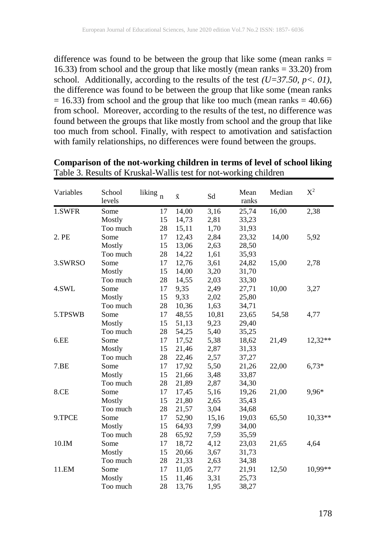difference was found to be between the group that like some (mean ranks  $=$ 16.33) from school and the group that like mostly (mean ranks = 33.20) from school. Additionally, according to the results of the test  $(U=37.50, p<sub>0</sub>, 01)$ , the difference was found to be between the group that like some (mean ranks  $= 16.33$ ) from school and the group that like too much (mean ranks  $= 40.66$ ) from school. Moreover, according to the results of the test, no difference was found between the groups that like mostly from school and the group that like too much from school. Finally, with respect to amotivation and satisfaction with family relationships, no differences were found between the groups.

| Variables | School<br>levels | liking<br>$\mathbf n$ | $\bar{\textbf{x}}$ | Sd    | Mean<br>ranks | Median | $X^2$     |
|-----------|------------------|-----------------------|--------------------|-------|---------------|--------|-----------|
| 1.SWFR    | Some             | 17                    | 14,00              | 3,16  | 25,74         | 16,00  | 2,38      |
|           | Mostly           | 15                    | 14,73              | 2,81  | 33,23         |        |           |
|           | Too much         | 28                    | 15,11              | 1,70  | 31,93         |        |           |
| 2. PE     | Some             | 17                    | 12,43              | 2,84  | 23,32         | 14,00  | 5,92      |
|           | Mostly           | 15                    | 13,06              | 2,63  | 28,50         |        |           |
|           | Too much         | 28                    | 14,22              | 1,61  | 35,93         |        |           |
| 3.SWRSO   | Some             | 17                    | 12,76              | 3,61  | 24,82         | 15,00  | 2,78      |
|           | Mostly           | 15                    | 14,00              | 3,20  | 31,70         |        |           |
|           | Too much         | 28                    | 14,55              | 2,03  | 33,30         |        |           |
| 4.SWL     | Some             | 17                    | 9,35               | 2,49  | 27,71         | 10,00  | 3,27      |
|           | Mostly           | 15                    | 9,33               | 2,02  | 25,80         |        |           |
|           | Too much         | 28                    | 10,36              | 1,63  | 34,71         |        |           |
| 5.TPSWB   | Some             | 17                    | 48,55              | 10,81 | 23,65         | 54,58  | 4,77      |
|           | Mostly           | 15                    | 51,13              | 9,23  | 29,40         |        |           |
|           | Too much         | 28                    | 54,25              | 5,40  | 35,25         |        |           |
| 6.EE      | Some             | 17                    | 17,52              | 5,38  | 18,62         | 21,49  | 12,32**   |
|           | Mostly           | 15                    | 21,46              | 2,87  | 31,33         |        |           |
|           | Too much         | 28                    | 22,46              | 2,57  | 37,27         |        |           |
| 7.EE      | Some             | 17                    | 17,92              | 5,50  | 21,26         | 22,00  | $6,73*$   |
|           | Mostly           | 15                    | 21,66              | 3,48  | 33,87         |        |           |
|           | Too much         | 28                    | 21,89              | 2,87  | 34,30         |        |           |
| 8.CE      | Some             | 17                    | 17,45              | 5,16  | 19,26         | 21,00  | 9,96*     |
|           | Mostly           | 15                    | 21,80              | 2,65  | 35,43         |        |           |
|           | Too much         | 28                    | 21,57              | 3,04  | 34,68         |        |           |
| 9.TPCE    | Some             | 17                    | 52,90              | 15,16 | 19,03         | 65,50  | $10,33**$ |
|           | Mostly           | 15                    | 64,93              | 7,99  | 34,00         |        |           |
|           | Too much         | 28                    | 65,92              | 7,59  | 35,59         |        |           |
| 10.IM     | Some             | 17                    | 18,72              | 4,12  | 23,03         | 21,65  | 4,64      |
|           | Mostly           | 15                    | 20,66              | 3,67  | 31,73         |        |           |
|           | Too much         | 28                    | 21,33              | 2,63  | 34,38         |        |           |
| 11.EM     | Some             | 17                    | 11,05              | 2,77  | 21,91         | 12,50  | 10,99**   |
|           | Mostly           | 15                    | 11,46              | 3,31  | 25,73         |        |           |
|           | Too much         | 28                    | 13,76              | 1,95  | 38,27         |        |           |

**Comparison of the not-working children in terms of level of school liking** Table 3. Results of Kruskal-Wallis test for not-working children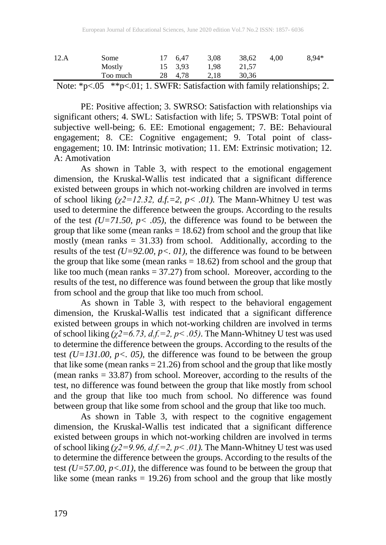| 12.A | Some     |    | 6.47    | 3.08 | 38.62 | 4.00 | $8.94*$ |
|------|----------|----|---------|------|-------|------|---------|
|      | Mostly   |    | 15 3.93 | 1.98 | 21.57 |      |         |
|      | Too much | 28 | 4.78    | 2.18 | 30.36 |      |         |

Note: \*p<.05 \*\*p<.01; 1. SWFR: Satisfaction with family relationships; 2.

PE: Positive affection; 3. SWRSO: Satisfaction with relationships via significant others; 4. SWL: Satisfaction with life; 5. TPSWB: Total point of subjective well-being; 6. EE: Emotional engagement; 7. BE: Behavioural engagement; 8. CE: Cognitive engagement; 9. Total point of classengagement; 10. IM: Intrinsic motivation; 11. EM: Extrinsic motivation; 12.  $A \cdot$  Amotivation

As shown in Table 3, with respect to the emotional engagement dimension, the Kruskal-Wallis test indicated that a significant difference existed between groups in which not-working children are involved in terms of school liking  $(\chi^2 = 12.32, d.f. = 2, p < .01)$ . The Mann-Whitney U test was used to determine the difference between the groups. According to the results of the test  $(U=71.50, p<.05)$ , the difference was found to be between the group that like some (mean ranks  $= 18.62$ ) from school and the group that like mostly (mean ranks  $= 31.33$ ) from school. Additionally, according to the results of the test  $(U=92.00, p<sub>0</sub>, 01)$ , the difference was found to be between the group that like some (mean ranks  $= 18.62$ ) from school and the group that like too much (mean ranks  $= 37.27$ ) from school. Moreover, according to the results of the test, no difference was found between the group that like mostly from school and the group that like too much from school.

As shown in Table 3, with respect to the behavioral engagement dimension, the Kruskal-Wallis test indicated that a significant difference existed between groups in which not-working children are involved in terms of school liking  $(\chi^2=6.73, d.f.=2, p<.05)$ . The Mann-Whitney U test was used to determine the difference between the groups. According to the results of the test *(U=131.00, p<. 05)*, the difference was found to be between the group that like some (mean ranks  $= 21.26$ ) from school and the group that like mostly (mean ranks = 33.87) from school. Moreover, according to the results of the test, no difference was found between the group that like mostly from school and the group that like too much from school. No difference was found between group that like some from school and the group that like too much.

As shown in Table 3, with respect to the cognitive engagement dimension, the Kruskal-Wallis test indicated that a significant difference existed between groups in which not-working children are involved in terms of school liking *(χ2=9.96, d.f.=2, p< .01).* The Mann-Whitney U test was used to determine the difference between the groups. According to the results of the test  $(U=57.00, p<0.01)$ , the difference was found to be between the group that like some (mean ranks  $= 19.26$ ) from school and the group that like mostly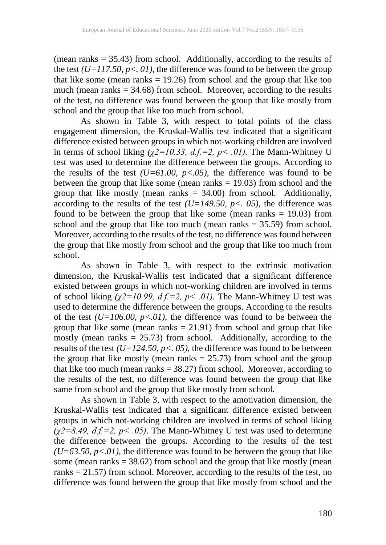(mean ranks  $= 35.43$ ) from school. Additionally, according to the results of the test *(U=117.50, p<. 01)*, the difference was found to be between the group that like some (mean ranks = 19.26) from school and the group that like too much (mean ranks  $= 34.68$ ) from school. Moreover, according to the results of the test, no difference was found between the group that like mostly from school and the group that like too much from school.

As shown in Table 3, with respect to total points of the class engagement dimension, the Kruskal-Wallis test indicated that a significant difference existed between groups in which not-working children are involved in terms of school liking  $(\chi^2 = 10.33, d.f.=2, p<.01)$ . The Mann-Whitney U test was used to determine the difference between the groups. According to the results of the test  $(U=61.00, p<0.05)$ , the difference was found to be between the group that like some (mean ranks  $= 19.03$ ) from school and the group that like mostly (mean ranks = 34.00) from school. Additionally, according to the results of the test *(U=149.50, p<. 05)*, the difference was found to be between the group that like some (mean ranks  $= 19.03$ ) from school and the group that like too much (mean ranks  $=$  35.59) from school. Moreover, according to the results of the test, no difference was found between the group that like mostly from school and the group that like too much from school.

As shown in Table 3, with respect to the extrinsic motivation dimension, the Kruskal-Wallis test indicated that a significant difference existed between groups in which not-working children are involved in terms of school liking  $(\chi^2 = 10.99, d.f = 2, p < .01)$ . The Mann-Whitney U test was used to determine the difference between the groups. According to the results of the test  $(U=106.00, p<0.01)$ , the difference was found to be between the group that like some (mean ranks  $= 21.91$ ) from school and group that like mostly (mean ranks  $= 25.73$ ) from school. Additionally, according to the results of the test  $(U=124.50, p<sub>0</sub>, 0.05)$ , the difference was found to be between the group that like mostly (mean ranks  $= 25.73$ ) from school and the group that like too much (mean ranks = 38.27) from school. Moreover, according to the results of the test, no difference was found between the group that like same from school and the group that like mostly from school.

As shown in Table 3, with respect to the amotivation dimension, the Kruskal-Wallis test indicated that a significant difference existed between groups in which not-working children are involved in terms of school liking *(χ2=8.49, d.f.=2, p< .05).* The Mann-Whitney U test was used to determine the difference between the groups. According to the results of the test  $(U=63.50, p<0.01)$ , the difference was found to be between the group that like some (mean ranks = 38.62) from school and the group that like mostly (mean ranks = 21.57) from school. Moreover, according to the results of the test, no difference was found between the group that like mostly from school and the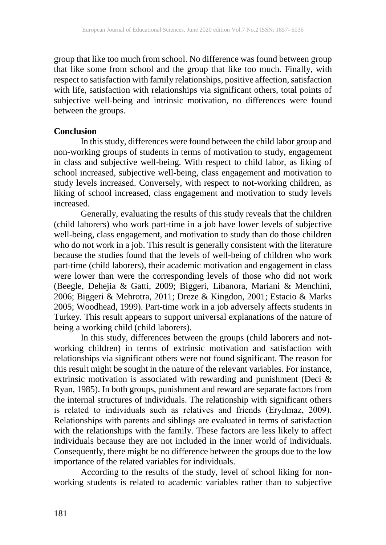group that like too much from school. No difference was found between group that like some from school and the group that like too much. Finally, with respect to satisfaction with family relationships, positive affection, satisfaction with life, satisfaction with relationships via significant others, total points of subjective well-being and intrinsic motivation, no differences were found between the groups.

## **Conclusion**

In this study, differences were found between the child labor group and non-working groups of students in terms of motivation to study, engagement in class and subjective well-being. With respect to child labor, as liking of school increased, subjective well-being, class engagement and motivation to study levels increased. Conversely, with respect to not-working children, as liking of school increased, class engagement and motivation to study levels increased.

Generally, evaluating the results of this study reveals that the children (child laborers) who work part-time in a job have lower levels of subjective well-being, class engagement, and motivation to study than do those children who do not work in a job. This result is generally consistent with the literature because the studies found that the levels of well-being of children who work part-time (child laborers), their academic motivation and engagement in class were lower than were the corresponding levels of those who did not work (Beegle, Dehejia & Gatti, 2009; Biggeri, Libanora, Mariani & Menchini, 2006; Biggeri & Mehrotra, 2011; Dreze & Kingdon, 2001; Estacio & Marks 2005; Woodhead, 1999). Part-time work in a job adversely affects students in Turkey. This result appears to support universal explanations of the nature of being a working child (child laborers).

In this study, differences between the groups (child laborers and notworking children) in terms of extrinsic motivation and satisfaction with relationships via significant others were not found significant. The reason for this result might be sought in the nature of the relevant variables. For instance, extrinsic motivation is associated with rewarding and punishment (Deci  $\&$ Ryan, 1985). In both groups, punishment and reward are separate factors from the internal structures of individuals. The relationship with significant others is related to individuals such as relatives and friends (Eryılmaz, 2009). Relationships with parents and siblings are evaluated in terms of satisfaction with the relationships with the family. These factors are less likely to affect individuals because they are not included in the inner world of individuals. Consequently, there might be no difference between the groups due to the low importance of the related variables for individuals.

According to the results of the study, level of school liking for nonworking students is related to academic variables rather than to subjective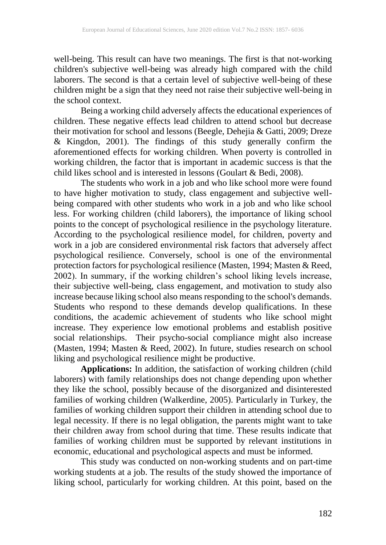well-being. This result can have two meanings. The first is that not-working children's subjective well-being was already high compared with the child laborers. The second is that a certain level of subjective well-being of these children might be a sign that they need not raise their subjective well-being in the school context.

Being a working child adversely affects the educational experiences of children. These negative effects lead children to attend school but decrease their motivation for school and lessons (Beegle, Dehejia & Gatti, 2009; Dreze & Kingdon, 2001). The findings of this study generally confirm the aforementioned effects for working children. When poverty is controlled in working children, the factor that is important in academic success is that the child likes school and is interested in lessons (Goulart & Bedi, 2008).

The students who work in a job and who like school more were found to have higher motivation to study, class engagement and subjective wellbeing compared with other students who work in a job and who like school less. For working children (child laborers), the importance of liking school points to the concept of psychological resilience in the psychology literature. According to the psychological resilience model, for children, poverty and work in a job are considered environmental risk factors that adversely affect psychological resilience. Conversely, school is one of the environmental protection factors for psychological resilience (Masten, 1994; Masten & Reed, 2002). In summary, if the working children's school liking levels increase, their subjective well-being, class engagement, and motivation to study also increase because liking school also means responding to the school's demands. Students who respond to these demands develop qualifications. In these conditions, the academic achievement of students who like school might increase. They experience low emotional problems and establish positive social relationships. Their psycho-social compliance might also increase (Masten, 1994; Masten & Reed, 2002). In future, studies research on school liking and psychological resilience might be productive.

**Applications:** In addition, the satisfaction of working children (child laborers) with family relationships does not change depending upon whether they like the school, possibly because of the disorganized and disinterested families of working children (Walkerdine, 2005). Particularly in Turkey, the families of working children support their children in attending school due to legal necessity. If there is no legal obligation, the parents might want to take their children away from school during that time. These results indicate that families of working children must be supported by relevant institutions in economic, educational and psychological aspects and must be informed.

This study was conducted on non-working students and on part-time working students at a job. The results of the study showed the importance of liking school, particularly for working children. At this point, based on the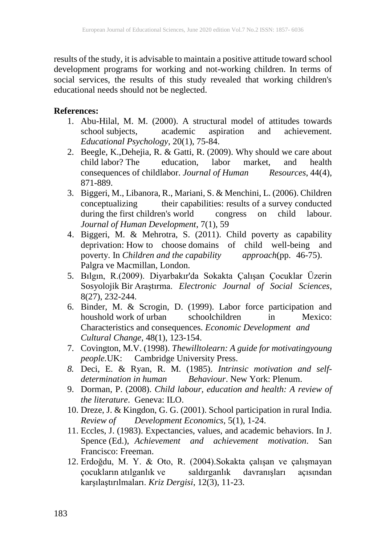results of the study, it is advisable to maintain a positive attitude toward school development programs for working and not-working children. In terms of social services, the results of this study revealed that working children's educational needs should not be neglected.

## **References:**

- 1. Abu-Hilal, M. M. (2000). A structural model of attitudes towards school subjects, academic aspiration and achievement. school subjects, academic aspiration and achievement. *Educational Psychology*, 20(1), 75-84.
- 2. Beegle, K.,Dehejia, R. & Gatti, R. (2009). Why should we care about child labor? The education, labor market, and health consequences of childlabor. Journal of Human Resources, 44(4), consequences of childlabor. *Journal of Human* 871-889.
- 3. Biggeri, M., Libanora, R., Mariani, S. & Menchini, L. (2006). Children conceptualizing their capabilities: results of a survey conducted during the first children's world congress on child labour. *Journal of Human Development*, 7(1), 59
- 4. Biggeri, M. & Mehrotra, S. (2011). Child poverty as capability deprivation: How to choose domains of child well-being and poverty. In *Children and the capability approach*(pp. 46-75). Palgra ve Macmillan, London.
- 5. Bılgın, R.(2009). Diyarbakır'da Sokakta Çalışan Çocuklar Üzerin Sosyolojik Bir Araştırma. *Electronic Journal of Social Sciences*, 8(27), 232-244.
- 6. Binder, M. & Scrogin, D. (1999). Labor force participation and houshold work of urban schoolchildren in Mexico: Characteristics and consequences. *Economic Development and Cultural Change*, 48(1), 123-154.
- 7. Covington, M.V. (1998). *Thewilltolearn: A guide for motivatingyoung people.*UK: Cambridge University Press.
- *8.* Deci, E. & Ryan, R. M. (1985). *Intrinsic motivation and selfdetermination in human Behaviour*. New York: Plenum.
- 9. Dorman, P. (2008). *Child labour, education and health: A review of the literature*. Geneva: ILO.
- 10. Dreze, J. & Kingdon, G. G. (2001). School participation in rural India. *Review of Development Economics*, 5(1), 1-24.
- 11. Eccles, J. (1983). Expectancies, values, and academic behaviors. In J. Spence (Ed.), *Achievement and achievement motivation*. San Francisco: Freeman.
- 12. Erdoğdu, M. Y. & Oto, R. (2004).Sokakta çalışan ve çalışmayan çocukların atılganlık ve saldırganlık davranışları açısından karşılaştırılmaları. *Kriz Dergisi*, 12(3), 11-23.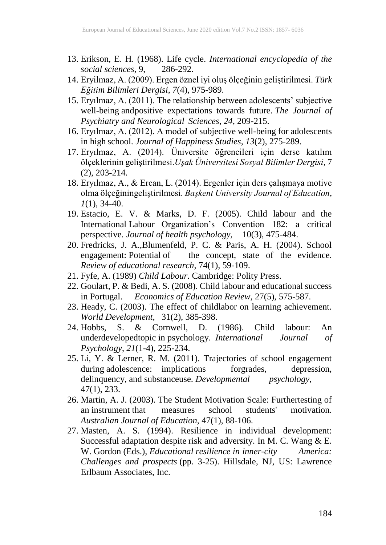- 13. Erikson, E. H. (1968). Life cycle. *International encyclopedia of the social sciences*, 9,
- 14. Eryilmaz, A. (2009). Ergen öznel iyi oluş ölçeğinin geliştirilmesi. *Türk Eğitim Bilimleri Dergisi*, *7*(4), 975-989.
- 15. Eryılmaz, A. (2011). The relationship between adolescents' subjective well-being andpositive expectations towards future. *The Journal of Psychiatry and Neurological Sciences*, *24*, 209-215.
- 16. Eryılmaz, A. (2012). A model of subjective well-being for adolescents in high school. *Journal of Happiness Studies*, *13*(2), 275-289.
- 17. Eryılmaz, A. (2014). Üniversite öğrencileri için derse katılım ölçeklerinin geliştirilmesi.*Uşak Üniversitesi Sosyal Bilimler Dergisi*, 7  $(2)$ , 203-214.
- 18. Eryılmaz, A., & Ercan, L. (2014). Ergenler için ders çalışmaya motive olma ölçeğiningeliştirilmesi. *Başkent University Journal of Education*, *1*(1), 34-40.
- 19. Estacio, E. V. & Marks, D. F. (2005). Child labour and the International Labour Organization's Convention 182: a critical perspective. *Journal of health psychology*, 10(3), 475-484.
- 20. Fredricks, J. A.,Blumenfeld, P. C. & Paris, A. H. (2004). School engagement: Potential of the concept, state of the evidence. *Review of educational research*, 74(1), 59-109.
- 21. Fyfe, A. (1989) *Child Labour*. Cambridge: Polity Press.
- 22. Goulart, P. & Bedi, A. S. (2008). Child labour and educational success in Portugal. *Economics of Education Review*, 27(5), 575-587.
- 23. Heady, C. (2003). The effect of childlabor on learning achievement. *World Development*, 31(2), 385-398.
- 24. Hobbs, S. & Cornwell, D. (1986). Child labour: An underdevelopedtopic in psychology. *International Journal of Psychology*, *21*(1-4), 225-234.
- 25. Li, Y. & Lerner, R. M. (2011). Trajectories of school engagement during adolescence: implications forgrades, depression, delinquency, and substanceuse. *Developmental psychology*, 47(1), 233.
- 26. Martin, A. J. (2003). The Student Motivation Scale: Furthertesting of an instrument that measures school students' motivation. *Australian Journal of Education*, 47(1), 88-106.
- 27. Masten, A. S. (1994). Resilience in individual development: Successful adaptation despite risk and adversity. In M. C. Wang & E. W. Gordon (Eds.), *Educational resilience in inner-city America: Challenges and prospects* (pp. 3-25). Hillsdale, NJ, US: Lawrence Erlbaum Associates, Inc.